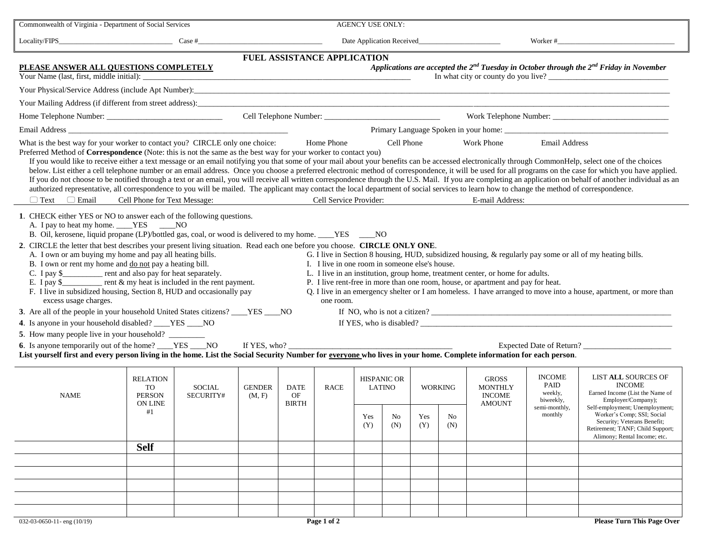| Commonwealth of Virginia - Department of Social Services                                                                                                                                                                                                                                                                                                                                                                                                                                                                                                                                                                                                                                                                                                                                                                                                                                                                                                                                                                                                                                                                                                                                                                                                                                                                                                                                                                                                                                                                                                                                              |                                                         | <b>AGENCY USE ONLY:</b>    |                                                                                                   |                                   |                             |                                            |           |                              |                 |                                                                  |                                                                           |                                                                                                                                                                                                                                                                         |  |
|-------------------------------------------------------------------------------------------------------------------------------------------------------------------------------------------------------------------------------------------------------------------------------------------------------------------------------------------------------------------------------------------------------------------------------------------------------------------------------------------------------------------------------------------------------------------------------------------------------------------------------------------------------------------------------------------------------------------------------------------------------------------------------------------------------------------------------------------------------------------------------------------------------------------------------------------------------------------------------------------------------------------------------------------------------------------------------------------------------------------------------------------------------------------------------------------------------------------------------------------------------------------------------------------------------------------------------------------------------------------------------------------------------------------------------------------------------------------------------------------------------------------------------------------------------------------------------------------------------|---------------------------------------------------------|----------------------------|---------------------------------------------------------------------------------------------------|-----------------------------------|-----------------------------|--------------------------------------------|-----------|------------------------------|-----------------|------------------------------------------------------------------|---------------------------------------------------------------------------|-------------------------------------------------------------------------------------------------------------------------------------------------------------------------------------------------------------------------------------------------------------------------|--|
| $Locality/FIPS$ $Case #$                                                                                                                                                                                                                                                                                                                                                                                                                                                                                                                                                                                                                                                                                                                                                                                                                                                                                                                                                                                                                                                                                                                                                                                                                                                                                                                                                                                                                                                                                                                                                                              |                                                         |                            |                                                                                                   |                                   |                             |                                            |           |                              |                 |                                                                  |                                                                           | Worker #                                                                                                                                                                                                                                                                |  |
|                                                                                                                                                                                                                                                                                                                                                                                                                                                                                                                                                                                                                                                                                                                                                                                                                                                                                                                                                                                                                                                                                                                                                                                                                                                                                                                                                                                                                                                                                                                                                                                                       |                                                         |                            |                                                                                                   |                                   | FUEL ASSISTANCE APPLICATION |                                            |           |                              |                 |                                                                  |                                                                           |                                                                                                                                                                                                                                                                         |  |
| PLEASE ANSWER ALL QUESTIONS COMPLETELY<br>Your Name (last, first, middle initial):                                                                                                                                                                                                                                                                                                                                                                                                                                                                                                                                                                                                                                                                                                                                                                                                                                                                                                                                                                                                                                                                                                                                                                                                                                                                                                                                                                                                                                                                                                                    |                                                         |                            | Applications are accepted the $2^{nd}$ Tuesday in October through the $2^{nd}$ Friday in November |                                   |                             |                                            |           |                              |                 |                                                                  |                                                                           |                                                                                                                                                                                                                                                                         |  |
|                                                                                                                                                                                                                                                                                                                                                                                                                                                                                                                                                                                                                                                                                                                                                                                                                                                                                                                                                                                                                                                                                                                                                                                                                                                                                                                                                                                                                                                                                                                                                                                                       |                                                         |                            |                                                                                                   |                                   |                             |                                            |           |                              |                 |                                                                  |                                                                           |                                                                                                                                                                                                                                                                         |  |
| Your Mailing Address (if different from street address):<br>The Contract of the Contract of the Contract of the Contract of the Contract of the Contract of the Contract of the Contract of the Contract of the Contract of the                                                                                                                                                                                                                                                                                                                                                                                                                                                                                                                                                                                                                                                                                                                                                                                                                                                                                                                                                                                                                                                                                                                                                                                                                                                                                                                                                                       |                                                         |                            |                                                                                                   |                                   |                             |                                            |           |                              |                 |                                                                  |                                                                           |                                                                                                                                                                                                                                                                         |  |
|                                                                                                                                                                                                                                                                                                                                                                                                                                                                                                                                                                                                                                                                                                                                                                                                                                                                                                                                                                                                                                                                                                                                                                                                                                                                                                                                                                                                                                                                                                                                                                                                       |                                                         |                            |                                                                                                   |                                   |                             |                                            |           |                              |                 |                                                                  |                                                                           |                                                                                                                                                                                                                                                                         |  |
|                                                                                                                                                                                                                                                                                                                                                                                                                                                                                                                                                                                                                                                                                                                                                                                                                                                                                                                                                                                                                                                                                                                                                                                                                                                                                                                                                                                                                                                                                                                                                                                                       |                                                         |                            |                                                                                                   |                                   |                             |                                            |           |                              |                 |                                                                  |                                                                           |                                                                                                                                                                                                                                                                         |  |
| What is the best way for your worker to contact you? CIRCLE only one choice:<br><b>Email Address</b><br>Home Phone<br>Cell Phone<br><b>Work Phone</b><br>Preferred Method of Correspondence (Note: this is not the same as the best way for your worker to contact you)<br>If you would like to receive either a text message or an email notifying you that some of your mail about your benefits can be accessed electronically through CommonHelp, select one of the choices<br>below. List either a cell telephone number or an email address. Once you choose a preferred electronic method of correspondence, it will be used for all programs on the case for which you have applied.<br>If you do not choose to be notified through a text or an email, you will receive all written correspondence through the U.S. Mail. If you are completing an application on behalf of another individual as an<br>authorized representative, all correspondence to you will be mailed. The applicant may contact the local department of social services to learn how to change the method of correspondence.<br>Cell Service Provider:<br>$\Box$ Email<br>Cell Phone for Text Message:<br>E-mail Address:<br>$\Box$ Text                                                                                                                                                                                                                                                                                                                                                                              |                                                         |                            |                                                                                                   |                                   |                             |                                            |           |                              |                 |                                                                  |                                                                           |                                                                                                                                                                                                                                                                         |  |
| 1. CHECK either YES or NO to answer each of the following questions.<br>A. I pay to heat my home. ____YES ____NO<br>B. Oil, kerosene, liquid propane (LP)/bottled gas, coal, or wood is delivered to my home. ___YES ____NO<br>2. CIRCLE the letter that best describes your present living situation. Read each one before you choose. CIRCLE ONLY ONE.<br>A. I own or am buying my home and pay all heating bills.<br>G. I live in Section 8 housing, HUD, subsidized housing, & regularly pay some or all of my heating bills.<br>B. I own or rent my home and do not pay a heating bill.<br>I. I live in one room in someone else's house.<br>C. I pay \$____________ rent and also pay for heat separately.<br>L. I live in an institution, group home, treatment center, or home for adults.<br>E. I pay $\frac{1}{2}$ rent & my heat is included in the rent payment.<br>P. I live rent-free in more than one room, house, or apartment and pay for heat.<br>F. I live in subsidized housing, Section 8, HUD and occasionally pay<br>Q. I live in an emergency shelter or I am homeless. I have arranged to move into a house, apartment, or more than<br>excess usage charges.<br>one room.<br>3. Are all of the people in your household United States citizens? ____YES ____NO<br>4. Is anyone in your household disabled? ____YES ___NO<br>6. Is anyone temporarily out of the home? ____YES ____NO<br>If YES, who?<br>List yourself first and every person living in the home. List the Social Security Number for everyone who lives in your home. Complete information for each person. |                                                         |                            |                                                                                                   |                                   |                             |                                            |           |                              |                 |                                                                  |                                                                           |                                                                                                                                                                                                                                                                         |  |
| <b>NAME</b>                                                                                                                                                                                                                                                                                                                                                                                                                                                                                                                                                                                                                                                                                                                                                                                                                                                                                                                                                                                                                                                                                                                                                                                                                                                                                                                                                                                                                                                                                                                                                                                           | <b>RELATION</b><br>TO<br><b>PERSON</b><br>ON LINE<br>#1 | <b>SOCIAL</b><br>SECURITY# | <b>GENDER</b><br>(M, F)                                                                           | <b>DATE</b><br>OF<br><b>BIRTH</b> | RACE                        | <b>HISPANIC OR</b><br>LATINO<br>Yes<br>(Y) | No<br>(N) | <b>WORKING</b><br>Yes<br>(Y) | $\rm No$<br>(N) | <b>GROSS</b><br><b>MONTHLY</b><br><b>INCOME</b><br><b>AMOUNT</b> | <b>INCOME</b><br>PAID<br>weekly,<br>biweekly,<br>semi-monthly,<br>monthly | <b>LIST ALL SOURCES OF</b><br><b>INCOME</b><br>Earned Income (List the Name of<br>Employer/Company);<br>Self-employment; Unemployment;<br>Worker's Comp; SSI; Social<br>Security; Veterans Benefit;<br>Retirement; TANF; Child Support;<br>Alimony; Rental Income; etc. |  |
|                                                                                                                                                                                                                                                                                                                                                                                                                                                                                                                                                                                                                                                                                                                                                                                                                                                                                                                                                                                                                                                                                                                                                                                                                                                                                                                                                                                                                                                                                                                                                                                                       | <b>Self</b>                                             |                            |                                                                                                   |                                   |                             |                                            |           |                              |                 |                                                                  |                                                                           |                                                                                                                                                                                                                                                                         |  |
|                                                                                                                                                                                                                                                                                                                                                                                                                                                                                                                                                                                                                                                                                                                                                                                                                                                                                                                                                                                                                                                                                                                                                                                                                                                                                                                                                                                                                                                                                                                                                                                                       |                                                         |                            |                                                                                                   |                                   |                             |                                            |           |                              |                 |                                                                  |                                                                           |                                                                                                                                                                                                                                                                         |  |
|                                                                                                                                                                                                                                                                                                                                                                                                                                                                                                                                                                                                                                                                                                                                                                                                                                                                                                                                                                                                                                                                                                                                                                                                                                                                                                                                                                                                                                                                                                                                                                                                       |                                                         |                            |                                                                                                   |                                   |                             |                                            |           |                              |                 |                                                                  |                                                                           |                                                                                                                                                                                                                                                                         |  |
|                                                                                                                                                                                                                                                                                                                                                                                                                                                                                                                                                                                                                                                                                                                                                                                                                                                                                                                                                                                                                                                                                                                                                                                                                                                                                                                                                                                                                                                                                                                                                                                                       |                                                         |                            |                                                                                                   |                                   |                             |                                            |           |                              |                 |                                                                  |                                                                           |                                                                                                                                                                                                                                                                         |  |
|                                                                                                                                                                                                                                                                                                                                                                                                                                                                                                                                                                                                                                                                                                                                                                                                                                                                                                                                                                                                                                                                                                                                                                                                                                                                                                                                                                                                                                                                                                                                                                                                       |                                                         |                            |                                                                                                   |                                   |                             |                                            |           |                              |                 |                                                                  |                                                                           |                                                                                                                                                                                                                                                                         |  |
|                                                                                                                                                                                                                                                                                                                                                                                                                                                                                                                                                                                                                                                                                                                                                                                                                                                                                                                                                                                                                                                                                                                                                                                                                                                                                                                                                                                                                                                                                                                                                                                                       |                                                         |                            |                                                                                                   |                                   |                             |                                            |           |                              |                 |                                                                  |                                                                           |                                                                                                                                                                                                                                                                         |  |